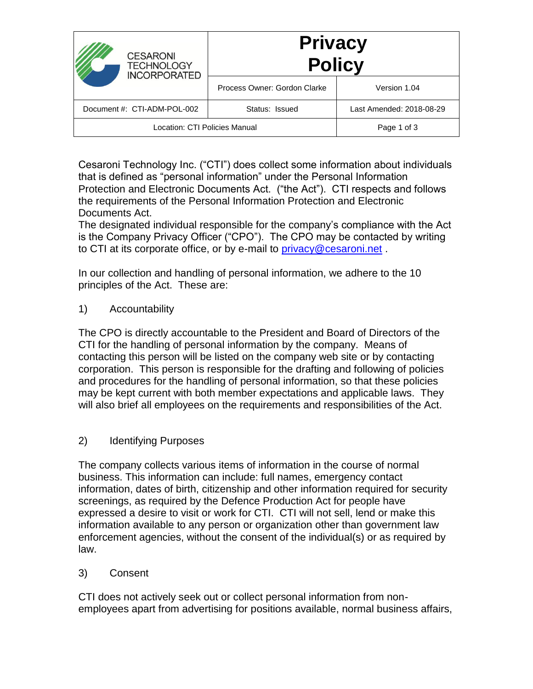| <b>CESARONI</b><br><b>TECHNOLOGY</b><br><b>INCORPORATED</b> | <b>Privacy</b><br><b>Policy</b> |                          |
|-------------------------------------------------------------|---------------------------------|--------------------------|
|                                                             | Process Owner: Gordon Clarke    | Version 1.04             |
| Document #: CTI-ADM-POL-002                                 | Status: Issued                  | Last Amended: 2018-08-29 |
| Location: CTI Policies Manual                               |                                 | Page 1 of 3              |

Cesaroni Technology Inc. ("CTI") does collect some information about individuals that is defined as "personal information" under the Personal Information Protection and Electronic Documents Act. ("the Act"). CTI respects and follows the requirements of the Personal Information Protection and Electronic Documents Act.

The designated individual responsible for the company's compliance with the Act is the Company Privacy Officer ("CPO"). The CPO may be contacted by writing to CTI at its corporate office, or by e-mail to [privacy@cesaroni.net](mailto:privacy@cesaroni.net).

In our collection and handling of personal information, we adhere to the 10 principles of the Act. These are:

1) Accountability

The CPO is directly accountable to the President and Board of Directors of the CTI for the handling of personal information by the company. Means of contacting this person will be listed on the company web site or by contacting corporation. This person is responsible for the drafting and following of policies and procedures for the handling of personal information, so that these policies may be kept current with both member expectations and applicable laws. They will also brief all employees on the requirements and responsibilities of the Act.

## 2) Identifying Purposes

The company collects various items of information in the course of normal business. This information can include: full names, emergency contact information, dates of birth, citizenship and other information required for security screenings, as required by the Defence Production Act for people have expressed a desire to visit or work for CTI. CTI will not sell, lend or make this information available to any person or organization other than government law enforcement agencies, without the consent of the individual(s) or as required by law.

## 3) Consent

CTI does not actively seek out or collect personal information from nonemployees apart from advertising for positions available, normal business affairs,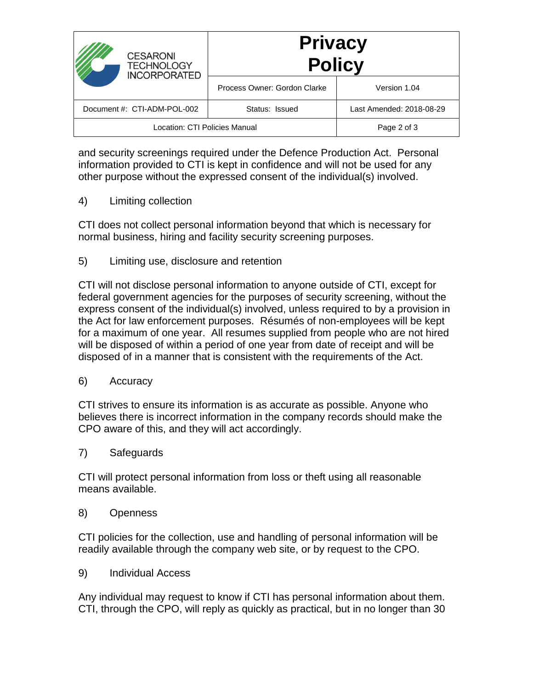| <b>CESARONI</b><br><b>TECHNOLOGY</b><br><b>INCORPORATED</b> | <b>Privacy</b><br><b>Policy</b> |                          |
|-------------------------------------------------------------|---------------------------------|--------------------------|
|                                                             | Process Owner: Gordon Clarke    | Version 1.04             |
| Document #: CTI-ADM-POL-002                                 | Status: Issued                  | Last Amended: 2018-08-29 |
| Location: CTI Policies Manual                               |                                 | Page 2 of 3              |

and security screenings required under the Defence Production Act. Personal information provided to CTI is kept in confidence and will not be used for any other purpose without the expressed consent of the individual(s) involved.

4) Limiting collection

CTI does not collect personal information beyond that which is necessary for normal business, hiring and facility security screening purposes.

5) Limiting use, disclosure and retention

CTI will not disclose personal information to anyone outside of CTI, except for federal government agencies for the purposes of security screening, without the express consent of the individual(s) involved, unless required to by a provision in the Act for law enforcement purposes. Résumés of non-employees will be kept for a maximum of one year. All resumes supplied from people who are not hired will be disposed of within a period of one year from date of receipt and will be disposed of in a manner that is consistent with the requirements of the Act.

6) Accuracy

CTI strives to ensure its information is as accurate as possible. Anyone who believes there is incorrect information in the company records should make the CPO aware of this, and they will act accordingly.

7) Safeguards

CTI will protect personal information from loss or theft using all reasonable means available.

8) Openness

CTI policies for the collection, use and handling of personal information will be readily available through the company web site, or by request to the CPO.

9) Individual Access

Any individual may request to know if CTI has personal information about them. CTI, through the CPO, will reply as quickly as practical, but in no longer than 30